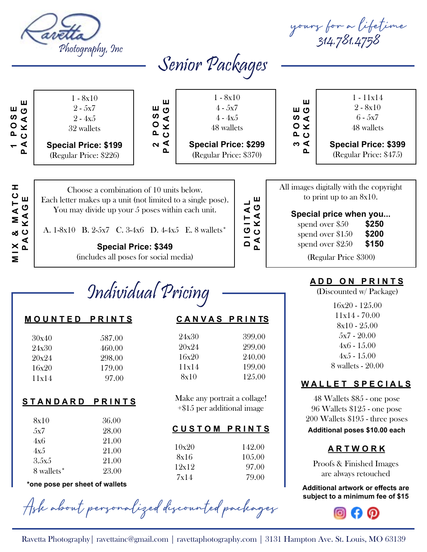

yours for a lifetime

|                                                                   |                                                                                                                                                            |                                             | $\vee$ <i>UTHUT &amp; VI</i> UNVIUS                   |                                               |                                           |                                                                                                 |
|-------------------------------------------------------------------|------------------------------------------------------------------------------------------------------------------------------------------------------------|---------------------------------------------|-------------------------------------------------------|-----------------------------------------------|-------------------------------------------|-------------------------------------------------------------------------------------------------|
| ш<br>ய ம<br>$^{\circ}$<br>$\circ$ $\times$<br>ن ≏                 | $1 - 8x10$<br>$2 - 5x7$<br>$2 - 4x5$<br>32 wallets                                                                                                         | ш<br>ய ம<br>ັ∿ ∢<br>$\circ$ $\times$<br>ں ≏ | $1 - 8x10$<br>$4 - 5x7$<br>$4 - 4x5$<br>48 wallets    |                                               | ш<br>ய ம<br>$\infty$<br>$O \times$<br>ن ≏ | $1 - 11x14$<br>$2 - 8x10$<br>$6 - 5x7$<br>48 wallets                                            |
| – ⋖<br>$\mathbf{a}$                                               | <b>Special Price: \$199</b><br>(Regular Price: \$226)                                                                                                      | $\sim$ $\triangleleft$<br>௳                 | <b>Special Price: \$299</b><br>(Regular Price: \$370) |                                               | ო ∢<br>௳                                  | <b>Special Price: \$399</b><br>(Regular Price: \$475)                                           |
| <b>I</b><br>$\mathbf C$<br>Ш<br>$\frac{10}{4}$<br><b>NA</b><br>MA | Choose a combination of 10 units below.<br>Each letter makes up a unit (not limited to a single pose).<br>You may divide up your 5 poses within each unit. |                                             |                                                       | ш<br>ပ<br>⋖<br>⋖<br>⊢                         |                                           | All images digitally with the copyright<br>to print up to an $8x10$ .<br>Special price when you |
| ၓ ပ<br>⋖<br>$\times$ $\overline{C}$                               | A. 1-8x10 B. 2-5x7 C. 3-4x6 D. 4-4x5 E. 8 wallets*<br><b>Special Price: \$349</b><br>(includes all poses for social media)                                 |                                             |                                                       | ပ<br>$\mathbf C$<br>⋖<br>$\Omega$<br>$\Omega$ |                                           | \$250<br>spend over $$50$<br>\$200<br>spend over $$150$<br>\$150<br>spend over \$250            |

Senior Dogboone

# Individual Pricing

#### **M O U N T E D P R I N T S**

MIX<sup>3</sup>

| 587.00 |
|--------|
| 460.00 |
| 298.00 |
| 179.00 |
| 97.00  |
|        |

**S T A N D A R D P R I N T S**

| 8x10                   | 36.00 |
|------------------------|-------|
| .5x7                   | 28.00 |
| 4x6                    | 21.00 |
| 4x.5                   | 21.00 |
| 3.5x5                  | 21.00 |
| 8 wallets <sup>*</sup> | 23.00 |

#### **\*one pose per sheet of wallets**

### **C A N V A S P R I N TS**

| 24x30 | 399.00  |
|-------|---------|
| 20x24 | 299.00  |
| 16x20 | 240.00  |
| 11x14 | 199.00  |
| 8x10  | 12.5.00 |

Make any portrait a collage! +\$15 per additional image

| $\sqrt{211}$<br>5x7 | ,,,,,,,,<br>28.00 | <b>CUSTOM</b> | <b>PRINTS</b> |
|---------------------|-------------------|---------------|---------------|
| 4x6                 | 21.00             |               |               |
| 4x5                 | 21.00             | 10x20         | 142.00        |
| 3.5x5               | 21.00             | 8x16          | 105.00        |
|                     |                   | 12x12         | 97.00         |
|                     |                   | 7x14          | 79.00         |
| 8 wallets*          | 23.00             |               |               |

Ask about personalized discounted packages

| All images digitally with the copyright |
|-----------------------------------------|
| to print up to an $8x10$ .              |

#### **Special price when you...**

- spend over \$50 **\$250**
- spend over \$150 **\$200**
- spend over \$250 **\$150**

## **A D D O N P R I N T S**

(Discounted w/ Package)

16x20 - 125.00 11x14 - 70.00 8x10 - 25.00 5x7 - 20.00 4x6 - 15.00 4x5 - 15.00 8 wallets - 20.00

# **W A L L E T S P E C I A L S**

48 Wallets \$85 - one pose 96 Wallets \$125 - one pose 200 Wallets \$195 - three poses **Additional poses \$10.00 each**

## **A R T W O R K**

Proofs & Finished Images are always retouched

**Additional artwork or effects are subject to a minimum fee of \$15**

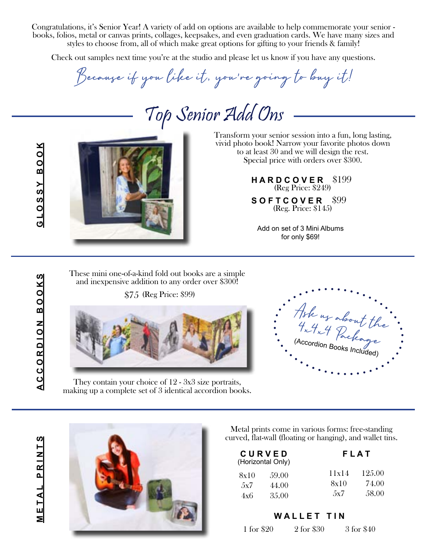Congratulations, it's Senior Year! A variety of add on options are available to help commemorate your senior books, folios, metal or canvas prints, collages, keepsakes, and even graduation cards. We have many sizes and styles to choose from, all of which make great options for gifting to your friends & family!

Check out samples next time you're at the studio and please let us know if you have any questions.

Because if you like it, you're going to buy it!

[Top Senior Add Ons](https://ravettaphotography.com/senior-products/)

GLOSSY BOOK **G L O S S Y B O O K**



Transform your senior session into a fun, long lasting, vivid photo book! Narrow your favorite photos down to at least 30 and we will design the rest. Special price with orders over \$300.

> \$199 **H A R D C O V E R** (Reg Price: \$249)

\$99 **S O F T C O V E R** (Reg. Price: \$145)

Add on set of 3 Mini Albums for only \$69!

These mini one-of-a-kind fold out books are a simple and inexpensive addition to any order over \$300!

\$75 (Reg Price: \$99)

They contain your choice of 12 - 3x3 size portraits, making up a complete set of 3 identical accordion books.

Ask us about the 4x4x4 Package (Accordion Books Included)

**M E T A L P R I N T S** METAL PRINT



Metal prints come in various forms: free-standing curved, flat-wall (floating or hanging), and wallet tins.

| CURVED<br>(Horizontal Only) |        |       | FLAT    |
|-----------------------------|--------|-------|---------|
| 8x10                        | 59.00  | 11x14 | 12.5.00 |
| .5x7                        | 44.00  | 8x10  | 74.00   |
| 4x6                         | 3.5.00 | .5x7  | 58.00   |

#### **W A L L E T T I N**

1 for \$20 2 for \$30 3 for \$40

# ACCORDION BOOKS **A C C O R D I O N B O O K S**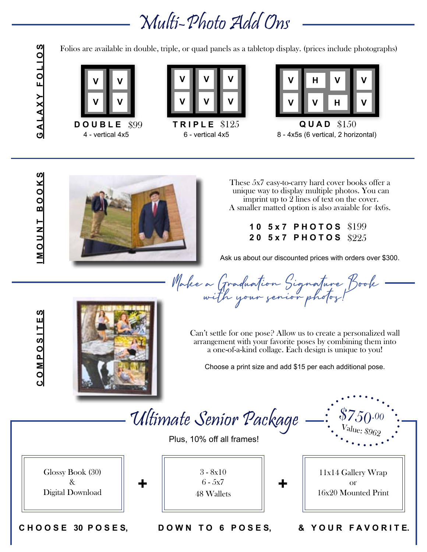# [Multi-Photo Add Ons](https://ravettaphotography.com/senior-products/)

Folios are available in double, triple, or quad panels as a tabletop display. (prices include photographs)









**G A L A X Y F O L I O S**

GALAXY FOLIO

ທ



These 5x7 easy-to-carry hard cover books offer a unique way to display multiple photos. You can imprint up to 2 lines of text on the cover. A smaller matted option is also avaiable for 4x6s.

> \$199 \$225 **2 0 5 x 7 P H O T O S 1 0 5 x 7 P H O T O S**

Ask us about our discounted prices with orders over \$300.

Make a Graduation Signature Book with your senior photos!

ທ **C O M P O S I T E S** COMPOSITE



Can't settle for one pose? Allow us to create a personalized wall arrangement with your favorite poses by combining them into a one-of-a-kind collage. Each design is unique to you!

Choose a print size and add \$15 per each additional pose.





Plus, 10% off all frames!

Glossy Book (30) & Digital Download



11x14 Gallery Wrap or 16x20 Mounted Print

**C H O O S E 30 P O S E S,**

**D O W N T O 6 P O S E S, & Y O U R F A V O R I T E.**